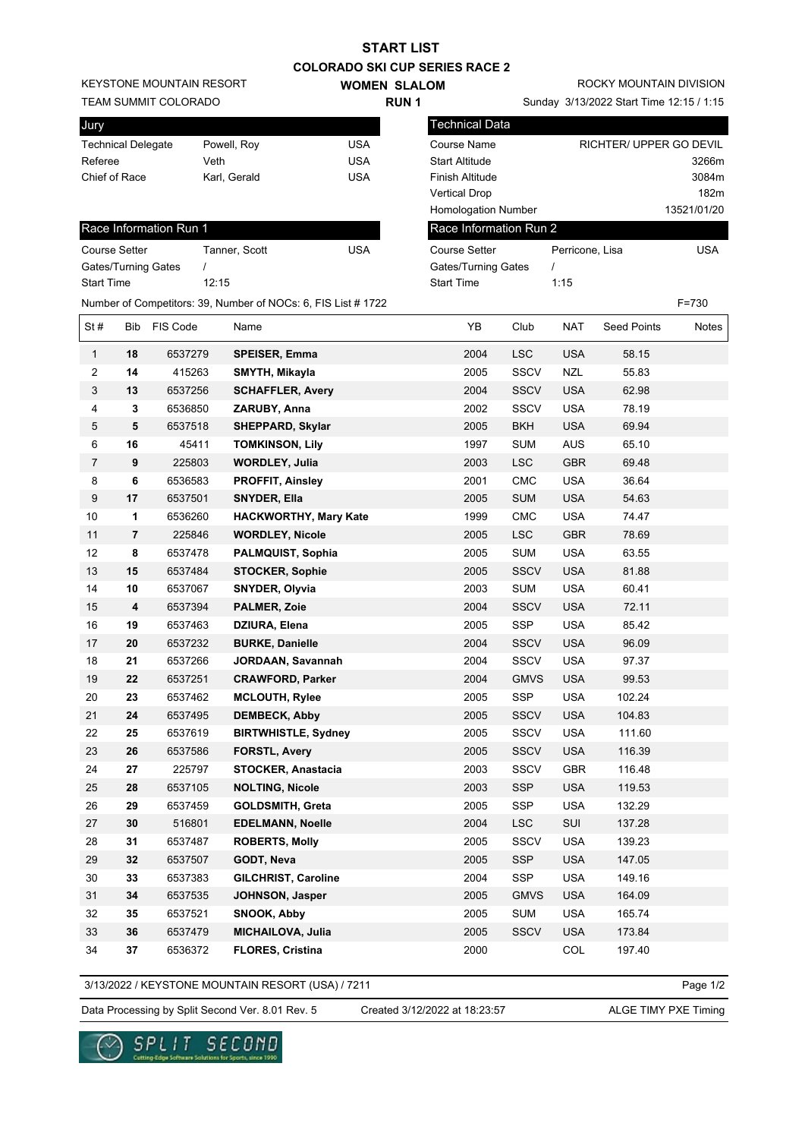| <b>COLORADO SKI CUP SERIES RACE 2</b> |                |                        |                                                               |                     |                        |             |                                          |                         |             |
|---------------------------------------|----------------|------------------------|---------------------------------------------------------------|---------------------|------------------------|-------------|------------------------------------------|-------------------------|-------------|
| <b>KEYSTONE MOUNTAIN RESORT</b>       |                |                        |                                                               | <b>WOMEN SLALOM</b> |                        |             | ROCKY MOUNTAIN DIVISION                  |                         |             |
| TEAM SUMMIT COLORADO                  |                |                        |                                                               | <b>RUN1</b>         |                        |             | Sunday 3/13/2022 Start Time 12:15 / 1:15 |                         |             |
| Jury                                  |                |                        |                                                               |                     | Technical Data         |             |                                          |                         |             |
| <b>Technical Delegate</b>             |                |                        | Powell, Roy                                                   | <b>USA</b>          | <b>Course Name</b>     |             |                                          | RICHTER/ UPPER GO DEVIL |             |
| Referee                               |                |                        | Veth                                                          | <b>USA</b>          | <b>Start Altitude</b>  |             |                                          |                         | 3266m       |
| Chief of Race                         |                |                        | Karl, Gerald                                                  | <b>USA</b>          | Finish Altitude        |             |                                          |                         | 3084m       |
|                                       |                |                        |                                                               |                     | <b>Vertical Drop</b>   |             |                                          |                         | 182m        |
|                                       |                |                        |                                                               |                     | Homologation Number    |             |                                          |                         | 13521/01/20 |
|                                       |                | Race Information Run 1 |                                                               |                     | Race Information Run 2 |             |                                          |                         |             |
| <b>Course Setter</b>                  |                |                        | Tanner, Scott                                                 | <b>USA</b>          | <b>Course Setter</b>   |             | Perricone, Lisa                          |                         | <b>USA</b>  |
|                                       |                | Gates/Turning Gates    |                                                               |                     | Gates/Turning Gates    |             | $\prime$                                 |                         |             |
| <b>Start Time</b>                     |                |                        | 12:15                                                         |                     | <b>Start Time</b>      |             | 1:15                                     |                         |             |
|                                       |                |                        | Number of Competitors: 39, Number of NOCs: 6, FIS List # 1722 |                     |                        |             |                                          |                         | $F = 730$   |
|                                       |                |                        |                                                               |                     |                        |             |                                          |                         |             |
| St#                                   | Bib            | FIS Code               | Name                                                          |                     | YB                     | Club        | <b>NAT</b>                               | <b>Seed Points</b>      | Notes       |
| $\mathbf{1}$                          | 18             | 6537279                | <b>SPEISER, Emma</b>                                          |                     | 2004                   | <b>LSC</b>  | <b>USA</b>                               | 58.15                   |             |
| 2                                     | 14             | 415263                 | SMYTH, Mikayla                                                |                     | 2005                   | <b>SSCV</b> | <b>NZL</b>                               | 55.83                   |             |
| 3                                     | 13             | 6537256                | <b>SCHAFFLER, Avery</b>                                       |                     | 2004                   | <b>SSCV</b> | <b>USA</b>                               | 62.98                   |             |
| 4                                     | 3              | 6536850                | ZARUBY, Anna                                                  |                     | 2002                   | <b>SSCV</b> | <b>USA</b>                               | 78.19                   |             |
| 5                                     | 5              | 6537518                | <b>SHEPPARD, Skylar</b>                                       |                     | 2005                   | <b>BKH</b>  | <b>USA</b>                               | 69.94                   |             |
| 6                                     | 16             | 45411                  | <b>TOMKINSON, Lily</b>                                        |                     | 1997                   | <b>SUM</b>  | <b>AUS</b>                               | 65.10                   |             |
| $\overline{7}$                        | 9              | 225803                 | <b>WORDLEY, Julia</b>                                         |                     | 2003                   | <b>LSC</b>  | <b>GBR</b>                               | 69.48                   |             |
| 8                                     | 6              | 6536583                | <b>PROFFIT, Ainsley</b>                                       |                     | 2001                   | CMC         | <b>USA</b>                               | 36.64                   |             |
| 9                                     | 17             | 6537501                | <b>SNYDER, Ella</b>                                           |                     | 2005                   | <b>SUM</b>  | <b>USA</b>                               | 54.63                   |             |
| 10                                    | 1              | 6536260                | HACKWORTHY, Mary Kate                                         |                     | 1999                   | <b>CMC</b>  | <b>USA</b>                               | 74.47                   |             |
| 11                                    | $\overline{7}$ | 225846                 | <b>WORDLEY, Nicole</b>                                        |                     | 2005                   | <b>LSC</b>  | <b>GBR</b>                               | 78.69                   |             |
| 12                                    | 8              | 6537478                | <b>PALMQUIST, Sophia</b>                                      |                     | 2005                   | <b>SUM</b>  | <b>USA</b>                               | 63.55                   |             |
| 13                                    | 15             | 6537484                | <b>STOCKER, Sophie</b>                                        |                     | 2005                   | <b>SSCV</b> | <b>USA</b>                               | 81.88                   |             |
| 14                                    | 10             | 6537067                | <b>SNYDER, Olyvia</b>                                         |                     | 2003                   | <b>SUM</b>  | <b>USA</b>                               | 60.41                   |             |
| 15                                    | 4              | 6537394                | PALMER, Zoie                                                  |                     | 2004                   | <b>SSCV</b> | <b>USA</b>                               | 72.11                   |             |
| 16                                    | 19             | 6537463                | DZIURA, Elena                                                 |                     | 2005                   | <b>SSP</b>  | <b>USA</b>                               | 85.42                   |             |
| 17                                    | 20             | 6537232                | <b>BURKE, Danielle</b>                                        |                     | 2004                   | <b>SSCV</b> | <b>USA</b>                               | 96.09                   |             |
| 18                                    | 21             | 6537266                | JORDAAN, Savannah                                             |                     | 2004                   | <b>SSCV</b> | <b>USA</b>                               | 97.37                   |             |
| 19                                    | 22             | 6537251                | <b>CRAWFORD, Parker</b>                                       |                     | 2004                   | <b>GMVS</b> | <b>USA</b>                               | 99.53                   |             |
| 20                                    | 23             | 6537462                | <b>MCLOUTH, Rylee</b>                                         |                     | 2005                   | SSP         | <b>USA</b>                               | 102.24                  |             |
| 21                                    | 24             | 6537495                | <b>DEMBECK, Abby</b>                                          |                     | 2005                   | <b>SSCV</b> | <b>USA</b>                               | 104.83                  |             |
| 22                                    | 25             | 6537619                | <b>BIRTWHISTLE, Sydney</b>                                    |                     | 2005                   | SSCV        | <b>USA</b>                               | 111.60                  |             |
| 23                                    | 26             | 6537586                | <b>FORSTL, Avery</b>                                          |                     | 2005                   | SSCV        | <b>USA</b>                               | 116.39                  |             |
| 24                                    | 27             | 225797                 | <b>STOCKER, Anastacia</b>                                     |                     | 2003                   | SSCV        | <b>GBR</b>                               | 116.48                  |             |
| 25                                    | 28             | 6537105                | <b>NOLTING, Nicole</b>                                        |                     | 2003                   | <b>SSP</b>  | <b>USA</b>                               | 119.53                  |             |
| 26                                    | 29             | 6537459                | GOLDSMITH, Greta                                              |                     | 2005                   | SSP         | <b>USA</b>                               | 132.29                  |             |
| 27                                    | 30             | 516801                 | <b>EDELMANN, Noelle</b>                                       |                     | 2004                   | LSC         | SUI                                      | 137.28                  |             |
| 28                                    | 31             | 6537487                | <b>ROBERTS, Molly</b>                                         |                     | 2005                   | <b>SSCV</b> | <b>USA</b>                               | 139.23                  |             |
| 29                                    | 32             | 6537507                | GODT, Neva                                                    |                     | 2005                   | SSP         | <b>USA</b>                               | 147.05                  |             |
| 30                                    | 33             | 6537383                | <b>GILCHRIST, Caroline</b>                                    |                     | 2004                   | SSP         | <b>USA</b>                               | 149.16                  |             |
| 31                                    | 34             | 6537535                | JOHNSON, Jasper                                               |                     | 2005                   | <b>GMVS</b> | <b>USA</b>                               | 164.09                  |             |
| 32                                    | 35             | 6537521                | SNOOK, Abby                                                   |                     | 2005                   | <b>SUM</b>  | <b>USA</b>                               | 165.74                  |             |
| 33                                    | 36             | 6537479                | <b>MICHAILOVA, Julia</b>                                      |                     | 2005                   | <b>SSCV</b> | <b>USA</b>                               | 173.84                  |             |
| 34                                    | $37\,$         |                        |                                                               |                     | 2000                   |             | COL                                      | 197.40                  |             |
|                                       |                | 6536372                | <b>FLORES, Cristina</b>                                       |                     |                        |             |                                          |                         |             |

**START LIST**

3/13/2022 / KEYSTONE MOUNTAIN RESORT (USA) / 7211

Page 1/2

Data Processing by Split Second Ver. 8.01 Rev. 5 Created 3/12/2022 at 18:23:57 ALGE TIMY PXE Timing

Created 3/12/2022 at 18:23:57